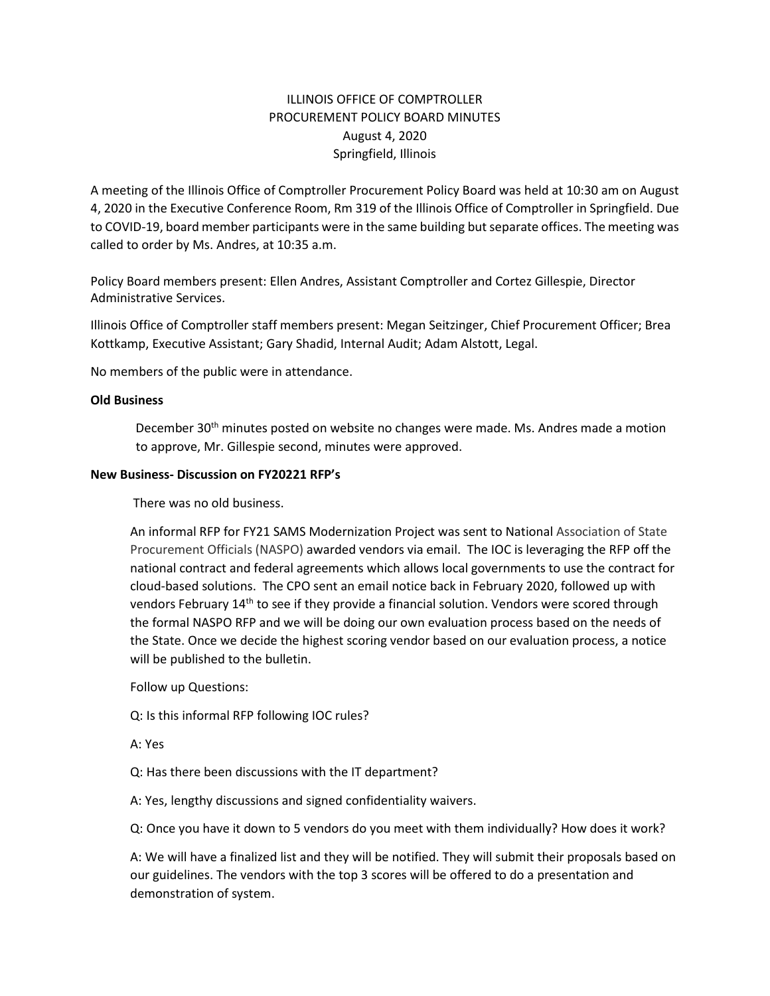## ILLINOIS OFFICE OF COMPTROLLER PROCUREMENT POLICY BOARD MINUTES August 4, 2020 Springfield, Illinois

A meeting of the Illinois Office of Comptroller Procurement Policy Board was held at 10:30 am on August 4, 2020 in the Executive Conference Room, Rm 319 of the Illinois Office of Comptroller in Springfield. Due to COVID-19, board member participants were in the same building but separate offices. The meeting was called to order by Ms. Andres, at 10:35 a.m.

Policy Board members present: Ellen Andres, Assistant Comptroller and Cortez Gillespie, Director Administrative Services.

Illinois Office of Comptroller staff members present: Megan Seitzinger, Chief Procurement Officer; Brea Kottkamp, Executive Assistant; Gary Shadid, Internal Audit; Adam Alstott, Legal.

No members of the public were in attendance.

## **Old Business**

December 30<sup>th</sup> minutes posted on website no changes were made. Ms. Andres made a motion to approve, Mr. Gillespie second, minutes were approved.

## **New Business- Discussion on FY20221 RFP's**

There was no old business.

An informal RFP for FY21 SAMS Modernization Project was sent to National Association of State Procurement Officials (NASPO) awarded vendors via email. The IOC is leveraging the RFP off the national contract and federal agreements which allows local governments to use the contract for cloud-based solutions. The CPO sent an email notice back in February 2020, followed up with vendors February 14th to see if they provide a financial solution. Vendors were scored through the formal NASPO RFP and we will be doing our own evaluation process based on the needs of the State. Once we decide the highest scoring vendor based on our evaluation process, a notice will be published to the bulletin.

Follow up Questions:

Q: Is this informal RFP following IOC rules?

A: Yes

Q: Has there been discussions with the IT department?

A: Yes, lengthy discussions and signed confidentiality waivers.

Q: Once you have it down to 5 vendors do you meet with them individually? How does it work?

A: We will have a finalized list and they will be notified. They will submit their proposals based on our guidelines. The vendors with the top 3 scores will be offered to do a presentation and demonstration of system.